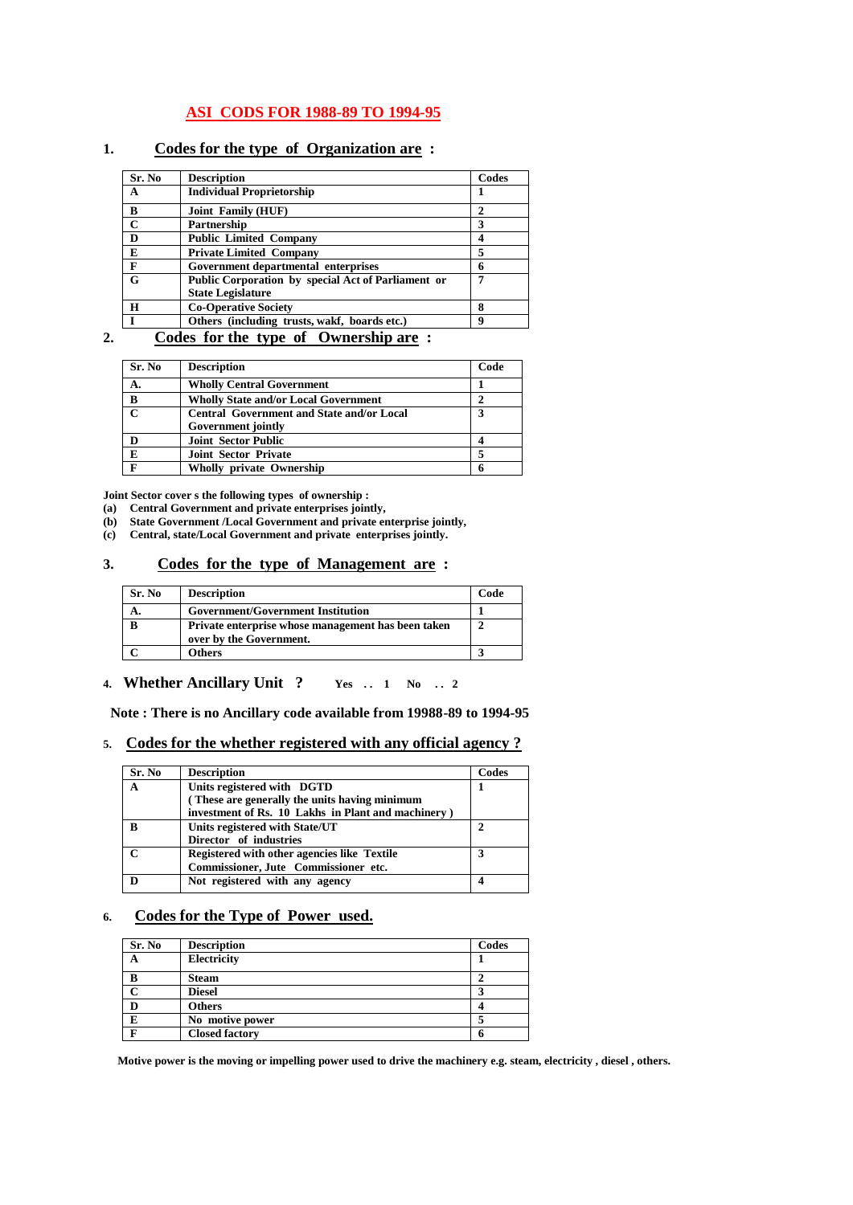## **ASI CODS FOR 1988-89 TO 1994-95**

### **1. Codes for the type of Organization are :**

| Sr. No      | <b>Description</b>                                 | Codes |
|-------------|----------------------------------------------------|-------|
| A           | <b>Individual Proprietorship</b>                   |       |
| B           | Joint Family (HUF)                                 | 2     |
| $\mathbf C$ | Partnership                                        | 3     |
| D           | <b>Public Limited Company</b>                      |       |
| E           | <b>Private Limited Company</b>                     | 5     |
| F           | Government departmental enterprises                | 6     |
| G           | Public Corporation by special Act of Parliament or |       |
|             | <b>State Legislature</b>                           |       |
| H           | <b>Co-Operative Society</b>                        | 8     |
|             | Others (including trusts, wakf, boards etc.)       | 9     |

## **2. Codes for the type of Ownership are :**

| Sr. No       | <b>Description</b>                               | Code |
|--------------|--------------------------------------------------|------|
| А.           | <b>Wholly Central Government</b>                 |      |
| B            | <b>Wholly State and/or Local Government</b>      |      |
| $\mathbf{C}$ | <b>Central Government and State and/or Local</b> | 3    |
|              | <b>Government jointly</b>                        |      |
|              | <b>Joint Sector Public</b>                       |      |
| E            | <b>Joint Sector Private</b>                      |      |
|              | Wholly private Ownership                         |      |

**Joint Sector cover s the following types of ownership :** 

- **(a) Central Government and private enterprises jointly,**
- **(b) State Government /Local Government and private enterprise jointly,**
- **(c) Central, state/Local Government and private enterprises jointly.**

### **3. Codes for the type of Management are :**

| Sr. No | <b>Description</b>                                                            | Code |
|--------|-------------------------------------------------------------------------------|------|
|        | <b>Government/Government Institution</b>                                      |      |
|        | Private enterprise whose management has been taken<br>over by the Government. |      |
|        | <b>Others</b>                                                                 |      |

#### **4. Whether Ancillary Unit ? Yes . . 1 No . . 2**

 **Note : There is no Ancillary code available from 19988-89 to 1994-95**

## **5. Codes for the whether registered with any official agency ?**

| Sr. No | <b>Description</b>                                 | Codes |
|--------|----------------------------------------------------|-------|
| A      | Units registered with DGTD                         |       |
|        | (These are generally the units having minimum      |       |
|        | investment of Rs. 10 Lakhs in Plant and machinery) |       |
| B      | Units registered with State/UT                     | 2     |
|        | Director of industries                             |       |
|        | Registered with other agencies like Textile        | 3     |
|        | Commissioner, Jute Commissioner etc.               |       |
|        | Not registered with any agency                     |       |
|        |                                                    |       |

# **6. Codes for the Type of Power used.**

| Sr. No | <b>Description</b>    | Codes |
|--------|-----------------------|-------|
|        | Electricity           |       |
|        | <b>Steam</b>          |       |
|        | <b>Diesel</b>         |       |
|        | <b>Others</b>         |       |
| E      | No motive power       |       |
|        | <b>Closed factory</b> | O     |

 **Motive power is the moving or impelling power used to drive the machinery e.g. steam, electricity , diesel , others.**